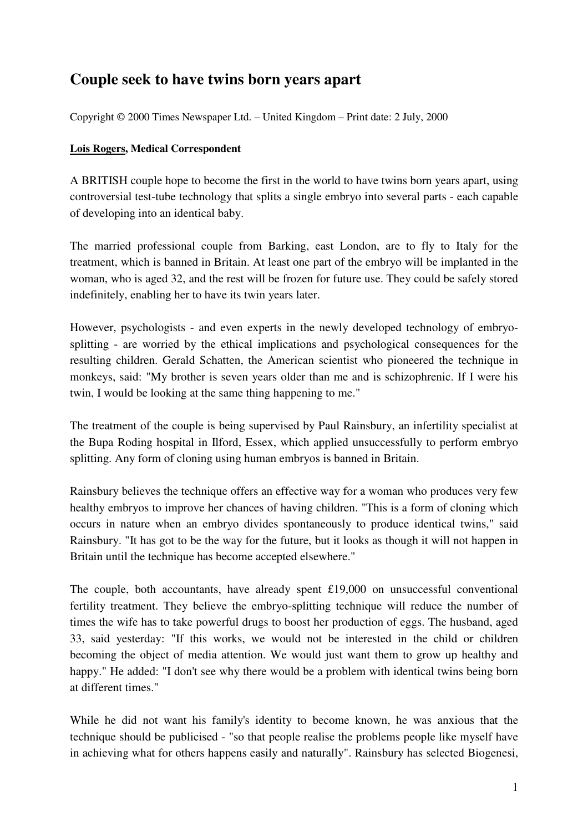## **Couple seek to have twins born years apart**

Copyright © 2000 Times Newspaper Ltd. – United Kingdom – Print date: 2 July, 2000

## **Lois Rogers, Medical Correspondent**

A BRITISH couple hope to become the first in the world to have twins born years apart, using controversial test-tube technology that splits a single embryo into several parts - each capable of developing into an identical baby.

The married professional couple from Barking, east London, are to fly to Italy for the treatment, which is banned in Britain. At least one part of the embryo will be implanted in the woman, who is aged 32, and the rest will be frozen for future use. They could be safely stored indefinitely, enabling her to have its twin years later.

However, psychologists - and even experts in the newly developed technology of embryosplitting - are worried by the ethical implications and psychological consequences for the resulting children. Gerald Schatten, the American scientist who pioneered the technique in monkeys, said: "My brother is seven years older than me and is schizophrenic. If I were his twin, I would be looking at the same thing happening to me."

The treatment of the couple is being supervised by Paul Rainsbury, an infertility specialist at the Bupa Roding hospital in Ilford, Essex, which applied unsuccessfully to perform embryo splitting. Any form of cloning using human embryos is banned in Britain.

Rainsbury believes the technique offers an effective way for a woman who produces very few healthy embryos to improve her chances of having children. "This is a form of cloning which occurs in nature when an embryo divides spontaneously to produce identical twins," said Rainsbury. "It has got to be the way for the future, but it looks as though it will not happen in Britain until the technique has become accepted elsewhere."

The couple, both accountants, have already spent £19,000 on unsuccessful conventional fertility treatment. They believe the embryo-splitting technique will reduce the number of times the wife has to take powerful drugs to boost her production of eggs. The husband, aged 33, said yesterday: "If this works, we would not be interested in the child or children becoming the object of media attention. We would just want them to grow up healthy and happy." He added: "I don't see why there would be a problem with identical twins being born at different times."

While he did not want his family's identity to become known, he was anxious that the technique should be publicised - "so that people realise the problems people like myself have in achieving what for others happens easily and naturally". Rainsbury has selected Biogenesi,